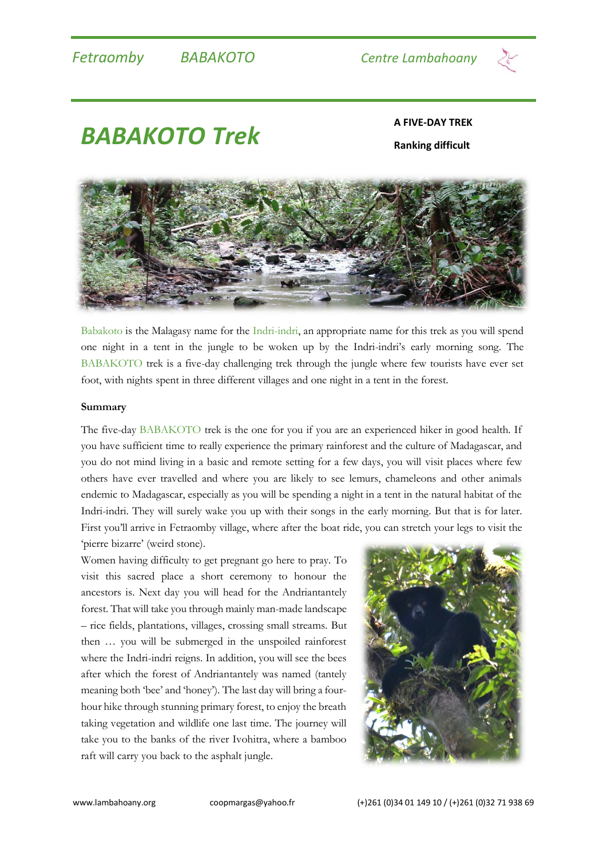

# *BABAKOTO Trek*

**A FIVE-DAY TREK Ranking difficult**



Babakoto is the Malagasy name for the Indri-indri, an appropriate name for this trek as you will spend one night in a tent in the jungle to be woken up by the Indri-indri's early morning song. The BABAKOTO trek is a five-day challenging trek through the jungle where few tourists have ever set foot, with nights spent in three different villages and one night in a tent in the forest.

#### **Summary**

The five-day BABAKOTO trek is the one for you if you are an experienced hiker in good health. If you have sufficient time to really experience the primary rainforest and the culture of Madagascar, and you do not mind living in a basic and remote setting for a few days, you will visit places where few others have ever travelled and where you are likely to see lemurs, chameleons and other animals endemic to Madagascar, especially as you will be spending a night in a tent in the natural habitat of the Indri-indri. They will surely wake you up with their songs in the early morning. But that is for later. First you'll arrive in Fetraomby village, where after the boat ride, you can stretch your legs to visit the 'pierre bizarre' (weird stone).

Women having difficulty to get pregnant go here to pray. To visit this sacred place a short ceremony to honour the ancestors is. Next day you will head for the Andriantantely forest. That will take you through mainly man-made landscape – rice fields, plantations, villages, crossing small streams. But then … you will be submerged in the unspoiled rainforest where the Indri-indri reigns. In addition, you will see the bees after which the forest of Andriantantely was named (tantely meaning both 'bee' and 'honey'). The last day will bring a fourhour hike through stunning primary forest, to enjoy the breath taking vegetation and wildlife one last time. The journey will take you to the banks of the river Ivohitra, where a bamboo raft will carry you back to the asphalt jungle.